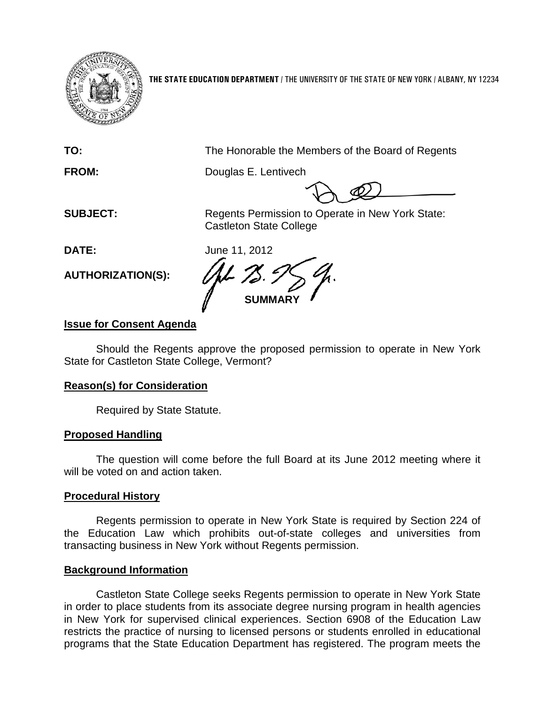

**THE STATE EDUCATION DEPARTMENT** / THE UNIVERSITY OF THE STATE OF NEW YORK / ALBANY, NY 12234

**TO:** The Honorable the Members of the Board of Regents

**FROM:** Douglas E. Lentivech

**SUBJECT:** Regents Permission to Operate in New York State: Castleton State College

**DATE:** June 11, 2012

**AUTHORIZATION(S):**

**SUMMARY**

## **Issue for Consent Agenda**

Should the Regents approve the proposed permission to operate in New York State for Castleton State College, Vermont?

## **Reason(s) for Consideration**

Required by State Statute.

# **Proposed Handling**

The question will come before the full Board at its June 2012 meeting where it will be voted on and action taken.

## **Procedural History**

Regents permission to operate in New York State is required by Section 224 of the Education Law which prohibits out-of-state colleges and universities from transacting business in New York without Regents permission.

## **Background Information**

Castleton State College seeks Regents permission to operate in New York State in order to place students from its associate degree nursing program in health agencies in New York for supervised clinical experiences. Section 6908 of the Education Law restricts the practice of nursing to licensed persons or students enrolled in educational programs that the State Education Department has registered. The program meets the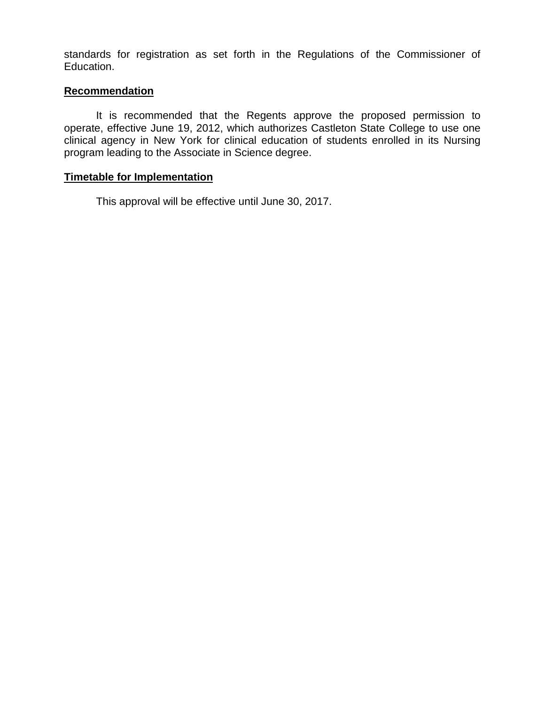standards for registration as set forth in the Regulations of the Commissioner of Education.

#### **Recommendation**

It is recommended that the Regents approve the proposed permission to operate, effective June 19, 2012, which authorizes Castleton State College to use one clinical agency in New York for clinical education of students enrolled in its Nursing program leading to the Associate in Science degree.

#### **Timetable for Implementation**

This approval will be effective until June 30, 2017.